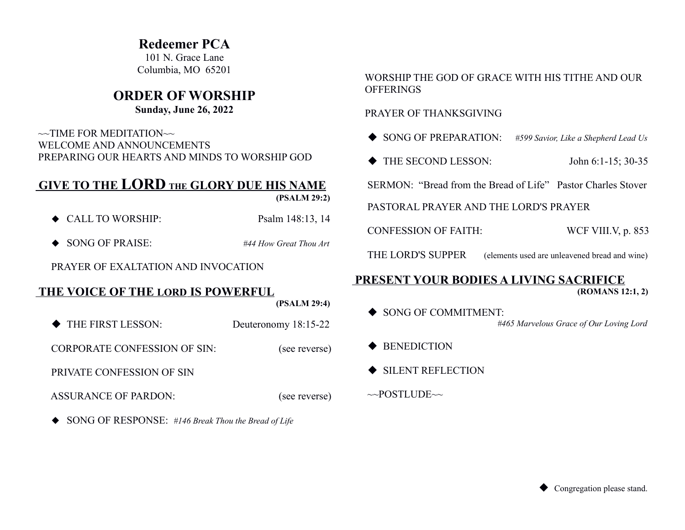# **Redeemer PCA**

101 N. Grace Lane Columbia, MO 65201

# **ORDER OF WORSHIP**

## **Sunday, June 26, 2022**

 $\sim$ TIME FOR MEDITATION $\sim$  WELCOME AND ANNOUNCEMENTS PREPARING OUR HEARTS AND MINDS TO WORSHIP GOD

# **GIVE TO THE LORD THE GLORY DUE HIS NAME**

 **(PSALM 29:2)**

- ◆ CALL TO WORSHIP: Psalm 148:13, 14
- ◆ SONG OF PRAISE: *#44 How Great Thou Art*

PRAYER OF EXALTATION AND INVOCATION

# **THE VOICE OF THE LORD IS POWERFUL**

 **(PSALM 29:4)**

◆ THE FIRST LESSON: Deuteronomy 18:15-22

CORPORATE CONFESSION OF SIN: (see reverse)

PRIVATE CONFESSION OF SIN

ASSURANCE OF PARDON:(see reverse)

SONG OF RESPONSE: *#146 Break Thou the Bread of Life*

## WORSHIP THE GOD OF GRACE WITH HIS TITHE AND OUR **OFFERINGS**

### PRAYER OF THANKSGIVING

SONG OF PREPARATION: *#599 Savior, Like a Shepherd Lead Us*

◆ THE SECOND LESSON: John 6:1-15; 30-35

SERMON: "Bread from the Bread of Life" Pastor Charles Stover

PASTORAL PRAYER AND THE LORD'S PRAYER

CONFESSION OF FAITH: WCF VIII.V, p. 853

THE LORD'S SUPPER (elements used are unleavened bread and wine)

### **PRESENT YOUR BODIES A LIVING SACRIFICE (ROMANS 12:1, 2)**

- ◆ SONG OF COMMITMENT: *#465 Marvelous Grace of Our Loving Lord*
- $\blacklozenge$  BENEDICTION
- $\triangle$  SILENT REFLECTION
- $\sim$ POSTLUDE $\sim$